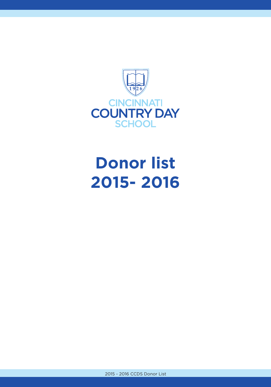

## **Donor list 2015- 2016**

2015 - 2016 CCDS Donor List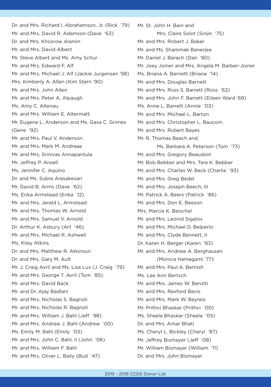Dr. and Mrs. Richard I. Abrahamson, Jr. (Rick '79) Mr. and Mrs. David R. Adamson (Dave '63) Dr. and Mrs. Khosrow Alamin Mr. and Mrs. David Albert Mr. Steve Albert and Ms. Amy Schur Mr. and Mrs. Edward F. Alf Mr. and Mrs. Michael J. Alf (Jackie Jurgensen '98) Mrs. Kimberly A. Allen (Kim Stern '90) Mr. and Mrs. John Allen Mr. and Mrs. Peter A. Alpaugh Ms. Amy C. Altenau Mr. and Mrs. William E. Altermatt Mr. Eugene L. Anderson and Ms. Gasa C. Grimes (Gene '92) Mr. and Mrs. Paul V. Anderson Mr. and Mrs. Mark M. Andreae Mr. and Mrs. Srinivas Annapantula Mr. Jeffrey P. Ansell Ms. Jennifer C. Aquino Dr. and Ms. Subra Arasakesari Mr. David B. Arms (Dave '62) Ms. Erika Armstead (Erika '12) Mr. and Mrs. Jerald L. Armstead Mr. and Mrs. Thomas W. Arnold Mr. and Mrs. Samuel V. Arnold Dr. Arthur K. Asbury (Art '46) Mr. and Mrs. Michael R. Ashwell Ms. Kiley Atkins Dr. and Mrs. Matthew R. Atkinson Dr. and Mrs. Gary M. Ault Mr. J. Craig Avril and Ms. Lisa Lux (J. Craig '79) Mr. and Mrs. George T. Avril (Tom '85) Mr. and Mrs. David Back Mr. and Dr. Ajay Badlani Mr. and Mrs. Nicholas S. Bagnoli Mr. and Mrs. Nicholas R. Bagnoli Mr. and Mrs. William J. Bahl (Jeff '98) Mr. and Mrs. Andrew J. Bahl (Andrew '00) Ms. Emily M. Bahl (Emily '03) Mr. and Mrs. John C. Bahl, II (John '06) Mr. and Mrs. William F. Bahl Mr. and Mrs. Oliver L. Baily (Bud '47)

Mr. St. John H. Bain and Mrs. Claire Solot (Sinjin '75) Mr. and Mrs. Robert J. Baker Mr. and Ms. Shammak Banerjee Mr. Daniel J. Barach (Dan '80) Mr. Joey Joiner and Mrs. Angela M. Barber-Joiner Ms. Briana A. Barnett (Briana '14) Mr. and Mrs. Douglas Barnett Mr. and Mrs. Ross S. Barrett (Ross '62) Mr. and Mrs. John F. Barrett (Eileen Ward '69) Ms. Anne L. Barrett (Annie '03) Mr. and Mrs. Michael L. Barton Mr. and Mrs. Christopher L. Baucom Mr. and Mrs. Robert Bayes Mr. R. Thomas Beach and Ms. Barbara A. Peterson (Tom '73) Mr. and Mrs. Gregory Beaudoin Mr. Bob Bebber and Mrs. Tara K. Bebber Mr. and Mrs. Charles W. Beck (Charlie '93) Mr. and Mrs. Greg Bedel Mr. and Mrs. Joseph Beech, III Mr. Patrick A. Beers (Patrick '86) Mr. and Mrs. Don E. Beeson Mrs. Marcia K. Beischel Mr. and Mrs. Leonid Sigalov Mr. and Mrs. Michael D. Belperio Mr. and Mrs. Clyde Bennett, II Dr. Karen H. Berger (Karen '83) Mr. and Mrs. Andrew A. Berghausen (Monica Hamagami '77) Mr. and Mrs. Paul A. Bernish Ms. Lee Ann Bertsch Mr. and Mrs. James W. Berutti Mr. and Mrs. Rexford Bevis Mr. and Mrs. Mark W. Beyreis Mr. Prithvi Bhaskar (Prithvi '00) Ms. Sheela Bhaskar (Sheela '05) Dr. and Mrs. Amar Bhati Ms. Cheryl L. Bickley (Cheryl '87) Mr. Jeffrey Bismayer (Jeff '08) Mr. William Bismayer (William '11) Dr. and Mrs. John Bismayer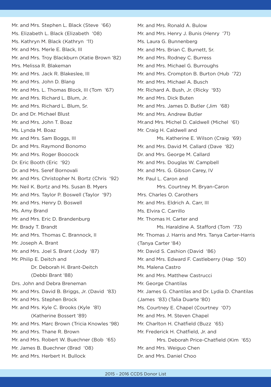Mr. and Mrs. Stephen L. Black (Steve '66) Ms. Elizabeth L. Black (Elizabeth '08) Ms. Kathryn M. Black (Kathryn '11) Mr. and Mrs. Merle E. Black, III Mr. and Mrs. Troy Blackburn (Katie Brown '82) Mrs. Melissa R. Blakeman Mr. and Mrs. Jack R. Blakeslee, III Mr. and Mrs. John D. Blang Mr. and Mrs. L. Thomas Block, III (Tom '67) Mr. and Mrs. Richard L. Blum, Jr. Mr. and Mrs. Richard L. Blum, Sr. Dr. and Dr. Michael Blust Mr. and Mrs. John T. Boaz Ms. Lynda M. Boaz Mr. and Mrs. Sam Boggs, III Dr. and Mrs. Raymond Bonomo Mr. and Mrs. Roger Boocock Dr. Eric Booth (Eric '92) Dr. and Mrs. Seref Bornovali Mr. and Mrs. Christopher N. Bortz (Chris '92) Mr. Neil K. Bortz and Ms. Susan B. Myers Mr. and Mrs. Taylor P. Boswell (Taylor '97) Mr. and Mrs. Henry D. Boswell Ms. Amy Brand Mr. and Mrs. Eric D. Brandenburg Mr. Brady T. Brandt Mr. and Mrs. Thomas C. Brannock, II Mr. Joseph A. Brant Mr. and Mrs. Joel S. Brant (Jody '87) Mr. Philip E. Deitch and Dr. Deborah H. Brant-Deitch (Debbi Brant '88) Drs. John and Debra Breneman Mr. and Mrs. David B. Briggs, Jr. (David '83) Mr. and Mrs. Stephen Brock Mr. and Mrs. Kyle C. Brooks (Kyle '81) (Katherine Bossert '89) Mr. and Mrs. Marc Brown (Tricia Knowles '98) Mr. and Mrs. Thane R. Brown Mr. and Mrs. Robert W. Buechner (Bob '65) Mr. James B. Buechner (Brad '08) Mr. and Mrs. Herbert H. Bullock

Mr. and Mrs. Ronald A. Bulow Mr. and Mrs. Henry J. Bunis (Henry '71) Ms. Laura G. Bunnenberg Mr. and Mrs. Brian C. Burnett, Sr. Mr. and Mrs. Rodney C. Burress Mr. and Mrs. Michael G. Burroughs Mr. and Mrs. Crompton B. Burton (Hub '72) Mr. and Mrs. Michael A. Busch Mr. Richard A. Bush, Jr. (Ricky '93) Mr. and Mrs. Dick Buten Mr. and Mrs. James D. Butler (Jim '68) Mr. and Mrs. Andrew Butler Mr.and Mrs. Michel D. Caldwell (Michel '61) Mr. Craig H. Caldwell and Ms. Katherine E. Wilson (Craig '69) Mr. and Mrs. David M. Callard (Dave '82) Dr. and Mrs. George M. Callard Mr. and Mrs. Douglas W. Campbell Mr. and Mrs. G. Gibson Carey, IV Mr. Paul L. Caron and Mrs. Courtney M. Bryan-Caron Mrs. Charles O. Carothers Mr. and Mrs. Eldrich A. Carr, III Ms. Elvira C. Carrillo Mr. Thomas H. Carter and Ms. Haraldine A. Stafford (Tom '73) Mr. Thomas J. Harris and Mrs. Tanya Carter-Harris (Tanya Carter '84) Mr. David S. Cashion (David '86) Mr. and Mrs. Edward F. Castleberry (Hap '50) Ms. Malena Castro Mr. and Mrs. Matthew Castrucci Mr. George Chantilas Mr. James G. Chantilas and Dr. Lydia D. Chantilas (James '83) (Talia Duarte '80) Ms. Courtney E. Chapel (Courtney '07) Mr. and Mrs. M. Steven Chapel Mr. Charlton H. Chatfield (Buzz '65) Mr. Frederick H. Chatfield, Jr. and Mrs. Deborah Price-Chatfield (Kim '65) Mr. and Mrs. Weiguo Chen Dr. and Mrs. Daniel Choo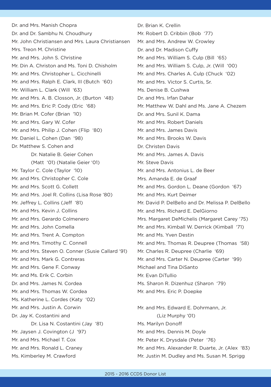Dr. and Mrs. Manish Chopra Dr. and Dr. Sambhu N. Choudhury Mr. John Christiansen and Mrs. Laura Christiansen Mrs. Treon M. Christine Mr. and Mrs. John S. Christine Mr. Din A. Christon and Ms. Toni D. Chisholm Mr. and Mrs. Christopher L. Cicchinelli Mr. and Mrs. Ralph E. Clark, III (Butch '60) Mr. William L. Clark (Will '63) Mr. and Mrs. A. B. Closson, Jr. (Burton '48) Mr. and Mrs. Eric P. Cody (Eric '68) Mr. Brian M. Cofer (Brian '10) Mr. and Mrs. Gary W. Cofer Mr. and Mrs. Philip J. Cohen (Flip '80) Mr. Daniel L. Cohen (Dan '98) Dr. Matthew S. Cohen and Dr. Natalie B. Geier Cohen (Matt '01) (Natalie Geier '01) Mr. Taylor C. Cole (Taylor '10) Mr. and Mrs. Christopher C. Cole Mr. and Mrs. Scott G. Collett Mr. and Mrs. Joel R. Collins (Lisa Rose '80) Mr. Jeffrey L. Collins (Jeff '81) Mr. and Mrs. Kevin J. Collins Mr. and Mrs. Gerardo Colmenero Mr. and Mrs. John Comella Mr. and Mrs. Trent A. Compton Mr. and Mrs. Timothy C. Connell Mr. and Mrs. Steven O. Conner (Susie Callard '91) Mr. and Mrs. Mark G. Contreras Mr. and Mrs. Gene F. Conway Mr. and Ms. Erik C. Corbin Dr. and Mrs. James N. Cordea Mr. and Mrs. Thomas W. Cordea Ms. Katherine L. Cordes (Katy '02) Mr. and Mrs. Justin A. Corwin Dr. Jay K. Costantini and Dr. Lisa N. Costantini (Jay '81) Mr. Jaysen J. Covington (J '97) Mr. and Mrs. Michael T. Cox Mr. and Mrs. Ronald L. Craney Ms. Kimberley M. Crawford

Dr. Brian K. Crellin Mr. Robert D. Cribbin (Bob '77) Mr. and Mrs. Andrew W. Crowley Dr. and Dr. Madison Cuffy Mr. and Mrs. William S. Culp (Bill '65) Mr. and Mrs. William S. Culp, Jr. (Will '00) Mr. and Mrs. Charles A. Culp (Chuck '02) Mr. and Mrs. Victor S. Curtis, Sr. Ms. Denise B. Cushwa Dr. and Mrs. Irfan Dahar Mr. Matthew W. Dahl and Ms. Jane A. Chezem Dr. and Mrs. Sunil K. Dama Mr. and Mrs. Robert Daniels Mr. and Mrs. James Davis Mr. and Mrs. Brooks W. Davis Dr. Christen Davis Mr. and Mrs. James A. Davis Mr. Steve Davis Mr. and Mrs. Antonius L. de Beer Mrs. Amanda E. de Graaf Mr. and Mrs. Gordon L. Deane (Gordon '67) Mr. and Mrs. Kurt Deimer Mr. David P. DelBello and Dr. Melissa P. DelBello Mr. and Mrs. Richard E. DelGiorno Mrs. Margaret DeMichelis (Margaret Carey '75) Mr. and Mrs. Kimball W. Derrick (Kimball '71) Mr. and Ms. Yven Destin Mr. and Mrs. Thomas R. Deupree (Thomas '58) Mr. Charles R. Deupree (Charlie '69) Mr. and Mrs. Carter N. Deupree (Carter '99) Michael and Tina DiSanto Mr. Evan DiTullio Ms. Sharon R. Dizenhuz (Sharon '79) Mr. and Mrs. Eric P. Doepke Mr. and Mrs. Edward E. Dohrmann, Jr. (Liz Murphy '01) Ms. Marilyn Donoff Mr. and Mrs. Dennis M. Doyle

- Mr. Peter K. Drysdale (Peter '76)
- Mr. and Mrs. Alexander R. Duarte, Jr. (Alex '83) Mr. Justin M. Dudley and Ms. Susan M. Sprigg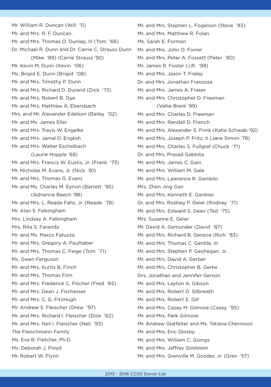Mr. William R. Duncan (Will '11) Mr. and Mrs. R. F. Duncan Mr. and Mrs. Thomas O. Dunlap, III (Tom '66) Dr. Michael R. Dunn and Dr. Carrie C. Strauss Dunn (Mike '89) (Carrie Strauss '92) Mr. Kevin M. Dunn (Kevin '06) Ms. Brigid E. Dunn (Brigid '08) Mr. and Mrs. Timothy P. Dunn Mr. and Mrs. Richard D. Durand (Dick '73) Mr. and Mrs. Robert B. Dye Mr. and Mrs. Matthew A. Ebersbach Mrs. and Mr. Alexander Edelson (Bailey '02) Mr. and Ms. James Eller Mr. and Mrs. Travis W. Engelke Mr. and Mrs. Jamal D. English Mr. and Mrs. Walter Eschelbach (Laurie Hopple '68) Mr. and Mrs. Francis W. Eustis, Jr. (Frank '73) Mr. Nicholas M. Evans, Jr. (Nick '81) Mr. and Mrs. Thomas G. Evans Mr. and Ms. Charles M. Eynon (Barrett '95) (Adrienne Beech '98) Mr. and Mrs. L. Reade Fahs, Jr. (Reade '78) Mr. Alan S. Falkingham Mrs. Lindsey A. Falkingham Mrs. Rita S. Faranda Mr. and Ms. Marco Fatuzzo Mr. and Mrs. Gregory A. Faulhaber Mr. and Mrs. Thomas C. Feige (Tom '71) Ms. Gwen Ferguson Mr. and Mrs. Kurtis B. Finch Mr. and Mrs. Thomas Finn Mr. and Mrs. Frederick C. Fischer (Fred '65) Mr. and Mrs. Dean J. Fischesser Mr. and Mrs. C. G. FitzHugh Mr. Andrew S. Fleischer (Drew '97) Mr. and Mrs. Richard I. Fleischer (Dick '62) Mr. and Mrs. Neil I. Fleischer (Neil '93) The Fleischmann Family Ms. Eva B. Fletcher, Ph.D. Ms. Deborah J. Floyd Mr. Robert W. Flynn

Mr. and Mrs. Stephen L. Fogelson (Steve '83) Mr. and Mrs. Matthew R. Folan Ms. Sarah E. Forman Mr. and Mrs. John O. Forrer Mr. and Mrs. Peter A. Fossett (Peter '80) Mr. James R. Foster (J.R. '98) Mr. and Mrs. Jason T. Fraley Dr. and Mrs. Jonathan Franzosa Mr. and Mrs. James A. Fraser Mr. and Mrs. Christopher D. Freeman (Vallie Brant '99) Mr. and Mrs. Charles D. Freeman Mr. and Mrs. Randall D. French Mr. and Mrs. Alexander S. Frink (Katie Schwab '92) Mr. and Mrs. Joseph P. Fritz, II (Jane Simon '78) Mr. and Mrs. Charles S. Fullgraf (Chuck '71) Dr. and Mrs. Prasad Gabbita Mr. and Mrs. James C. Gain Mr. and Mrs. William M. Gale Mr. and Mrs. Lawrence R. Gamblin Mrs. Zhen Jing Gan Mr. and Mrs. Kenneth E. Gardner Dr. and Mrs. Rodney P. Geier (Rodney '71) Mr. and Mrs. Edward S. Geier (Ted '75) Mrs. Susanne E. Geier Mr. David A. Gemunder (David '87) Mr. and Mrs. Richard B. Genece (Rich '83) Mr. and Mrs. Thomas C. Gentile, III Mr. and Mrs. Stephen P. Geohegan, Jr. Mr. and Mrs. David A. Gerber Mr. and Mrs. Christopher B. Gerke Drs. Jonathan and Jennifer Gerson Mr. and Mrs. Layton A. Gibson Mr. and Mrs. Robert D. Gilbreath Mr. and Mrs. Robert E. Gill Mr. and Mrs. Casey M. Gilmore (Casey '95) Mr. and Mrs. Park Gilmore Mr. Andrew Glatfelter and Ms. Tatiana Chernovol Mr. and Mrs. Eric Glosby Mr. and Mrs. William C. Goings Mr. and Mrs. Jeffrey Goldstein Mr. and Mrs. Grenville M. Gooder, Jr. (Gren '57)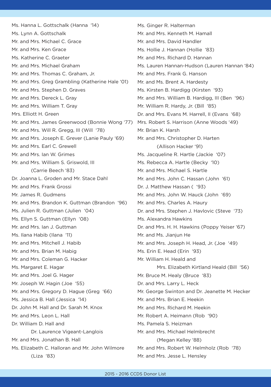Ms. Hanna L. Gottschalk (Hanna '14) Ms. Lynn A. Gottschalk Mr. and Mrs. Michael C. Grace Mr. and Mrs. Ken Grace Ms. Katherine C. Graeter Mr. and Mrs. Michael Graham Mr. and Mrs. Thomas C. Graham, Jr. Mr. and Mrs. Greg Grambling (Katherine Hale '01) Mr. and Mrs. Stephen D. Graves Mr. and Mrs. Dereck L. Gray Mr. and Mrs. William T. Gray Mrs. Elliott H. Green Mr. and Mrs. James Greenwood (Bonnie Wong '77) Mrs. Robert S. Harrison (Anne Woods '49) Mr. and Mrs. Will R. Gregg, III (Will '78) Mr. and Mrs. Joseph E. Grever (Lanie Pauly '69) Mr. and Mrs. Earl C. Grewell Mr. and Mrs. Ian W. Grimes Mr. and Mrs. William S. Griswold, III (Carrie Beech '83) Dr. Joanna L. Groden and Mr. Stace Dahl Mr. and Mrs. Frank Grossi Mr. James R. Gudmens Mr. and Mrs. Brandon K. Guttman (Brandon '96) Ms. Julien R. Guttman (Julien '04) Ms. Ellyn S. Guttman (Ellyn '08) Mr. and Mrs. Ian J. Guttman Ms. Ilana Habib (Ilana '11) Mr. and Mrs. Mitchell J. Habib Mr. and Mrs. Brian M. Habig Mr. and Mrs. Coleman G. Hacker Ms. Margaret E. Hagar Mr. and Mrs. Joel G. Hager Mr. Joseph W. Hagin (Joe '55) Mr. and Mrs. Gregory D. Hague (Greg '66) Ms. Jessica B. Hall (Jessica '14) Dr. John M. Hall and Dr. Sarah M. Knox Mr. and Mrs. Leon L. Hall Dr. William D. Hall and Dr. Laurence Vigeant-Langlois Mr. and Mrs. Jonathan B. Hall Ms. Elizabeth C. Halloran and Mr. John Wilmore (Liza '83)

Ms. Ginger R. Halterman Mr. and Mrs. Kenneth M. Hamall Mr. and Mrs. David Handler Ms. Hollie J. Hannan (Hollie '83) Mr. and Mrs. Richard D. Hannan Ms. Lauren Hannan-Hudson (Lauren Hannan '84) Mr. and Mrs. Frank G. Hanson Mr. and Ms. Brent A. Hardesty Ms. Kirsten B. Hardigg (Kirsten '93) Mr. and Mrs. William B. Hardigg, III (Ben '96) Mr. William R. Hardy, Jr. (Bill '85) Dr. and Mrs. Evans M. Harrell, II (Evans '68) Mr. Brian K. Harsh Mr. and Mrs. Christopher D. Harten (Allison Hacker '91) Ms. Jacqueline R. Hartle (Jackie '07) Ms. Rebecca A. Hartle (Becky '10) Mr. and Mrs. Michael S. Hartle Mr. and Mrs. John C. Hassan (John '61) Dr. J. Matthew Hassan ( '93) Mr. and Mrs. John W. Hauck (John '69) Mr. and Mrs. Charles A. Haury Dr. and Mrs. Stephen J. Havlovic (Steve '73) Ms. Alexandra Hawkins Dr. and Mrs. H. H. Hawkins (Poppy Yeiser '67) Mr. and Ms. Jianjun He Mr. and Mrs. Joseph H. Head, Jr. (Joe '49) Ms. Erin E. Head (Erin '93) Mr. William H. Heald and Mrs. Elizabeth Kirtland Heald (Bill '56) Mr. Bruce M. Healy (Bruce '83) Dr. and Mrs. Larry L. Heck Mr. George Swinton and Dr. Jeanette M. Hecker Mr. and Mrs. Brian E. Heekin Mr. and Mrs. Richard M. Heekin Mr. Robert A. Heimann (Rob '90) Ms. Pamela S. Heizman Mr. and Mrs. Michael Helmbrecht (Megan Kelley '88) Mr. and Mrs. Robert W. Helmholz (Rob '78) Mr. and Mrs. Jesse L. Hensley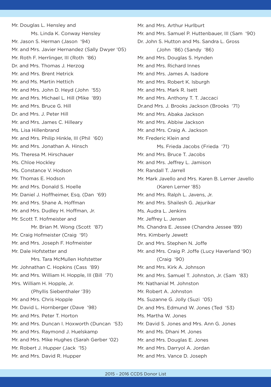Mr. Douglas L. Hensley and Ms. Linda K. Conway Hensley Mr. Jason S. Herman (Jason '94) Mr. and Mrs. Javier Hernandez (Sally Dwyer '05) Mr. Roth F. Herrlinger, III (Roth '86) Dr. and Mrs. Thomas J. Herzog Mr. and Mrs. Brent Hetrick Mr. and Ms. Martin Hettich Mr. and Mrs. John D. Heyd (John '55) Mr. and Mrs. Michael L. Hill (Mike '89) Mr. and Mrs. Bruce G. Hill Dr. and Mrs. J. Peter Hill Mr. and Mrs. James C. Hilleary Ms. Lisa Hillenbrand Mr. and Mrs. Philip Hinkle, III (Phil '60) Mr. and Mrs. Jonathan A. Hinsch Ms. Theresa M. Hirschauer Ms. Chloe Hockley Ms. Constance V. Hodson Mr. Thomas E. Hodson Mr. and Mrs. Donald S. Hoelle Mr. Daniel J. Hoffheimer, Esg. (Dan '69) Mr. and Mrs. Shane A. Hoffman Mr. and Mrs. Dudley H. Hoffman, Jr. Mr. Scott T. Hofmeister and Mr. Brian M. Wong (Scott '87) Mr. Craig Hofmeister (Craig '91) Mr. and Mrs. Joseph F. Hofmeister Mr. Dale Hofstetter and Mrs. Tara McMullen Hofstetter Mr. Johnathan C. Hopkins (Cass '89) Mr. and Mrs. William H. Hopple, III (Bill '71) Mrs. William H. Hopple, Jr. (Phyllis Siebenthaler '39) Mr. and Mrs. Chris Hopple Mr. David L. Hornberger (Dave '98) Mr. and Mrs. Peter T. Horton Mr. and Mrs. Duncan I. Hoxworth (Duncan '53) Mr. and Mrs. Raymond J. Huelskamp Mr. and Mrs. Mike Hughes (Sarah Gerber '02) Mr. Robert J. Hupper (Jack '15) Mr. and Mrs. David R. Hupper

Mr. and Mrs. Arthur Hurlburt Mr. and Mrs. Samuel P. Huttenbauer, III (Sam '90) Dr. John S. Hutton and Ms. Sandra L. Gross (John '86) (Sandy '86) Mr. and Mrs. Douglas S. Hynden Mr. and Mrs. Richard Innes Mr. and Mrs. James A. Isadore Mr. and Mrs. Robert K. Isburgh Mr. and Mrs. Mark R. Isett Mr. and Mrs. Anthony T. T. Jaccaci Dr.and Mrs. J. Brooks Jackson (Brooks '71) Mr. and Mrs. Abaka Jackson Mr. and Mrs. Abbiw Jackson Mr. and Mrs. Craig A. Jackson Mr. Frederic Klein and Ms. Frieda Jacobs (Frieda '71) Mr. and Mrs. Bruce T. Jacobs Mr. and Mrs. Jeffrey L. Jamison Mr. Randall T. Jarrell Mr. Mark Javello and Mrs. Karen B. Lerner Javello (Karen Lerner '85) Mr. and Mrs. Ralph L. Javens, Jr. Mr. and Mrs. Shailesh G. Jejurikar Ms. Audra L. Jenkins Mr. Jeffrey L. Jensen Ms. Chandra E. Jessee (Chandra Jessee '89) Mrs. Kimberly Jewett Dr. and Mrs. Stephen N. Joffe Mr. and Mrs. Craig P. Joffe (Lucy Haverland '90) (Craig '90) Mr. and Mrs. Kirk A. Johnson Mr. and Mrs. Samuel T. Johnston, Jr. (Sam '83) Mr. Nathanial M. Johnston Mr. Robert A. Johnston Ms. Suzanne G. Jolly (Suzi '05) Dr. and Mrs. Edmund W. Jones (Ted '53) Ms. Martha W. Jones Mr. David S. Jones and Mrs. Ann G. Jones Mr. and Ms. Dhani M. Jones Mr. and Mrs. Douglas E. Jones Mr. and Mrs. Darryol A. Jordan Mr. and Mrs. Vance D. Joseph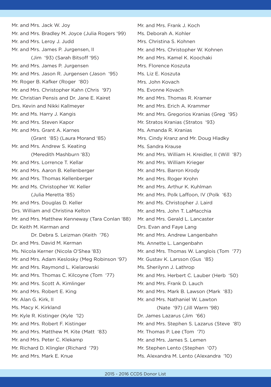Mr. and Mrs. Jack W. Joy Mr. and Mrs. Bradley M. Joyce (Julia Rogers '99) Mr. and Mrs. Leroy J. Judd Mr. and Mrs. James P. Jurgensen, II (Jim '93) (Sarah Bitsoff '95) Mr. and Mrs. James P. Jurgensen Mr. and Mrs. Jason R. Jurgensen (Jason '95) Mr. Roger B. Kafker (Roger '80) Mr. and Mrs. Christopher Kahn (Chris '97) Mr. Christian Pensis and Dr. Jane E. Kairet Drs. Kevin and Nikki Kallmeyer Mr. and Ms. Harry J. Kangis Mr. and Mrs. Steven Kapor Mr. and Mrs. Grant A. Karnes (Grant '85) (Laura Morand '85) Mr. and Mrs. Andrew S. Keating (Meredith Mashburn '83) Mr. and Mrs. Lorrence T. Kellar Mr. and Mrs. Aaron B. Kellenberger Mr. and Mrs. Thomas Kellenberger Mr. and Ms. Christopher W. Keller (Julia Meretta '85) Mr. and Mrs. Douglas D. Keller Drs. William and Christina Kelton Mr. and Mrs. Matthew Kenneway (Tara Conlan '88) Dr. Keith M. Kerman and Dr. Debra S. Leizman (Keith '76) Dr. and Mrs. David M. Kerman Ms. Nicola Kerner (Nicola O'Shea '83) Mr. and Mrs. Adam Keslosky (Meg Robinson '97) Mr. and Mrs. Raymond L. Kielarowski Mr. and Mrs. Thomas C. Kilcoyne (Tom '77) Mr. and Mrs. Scott A. Kimlinger Mr. and Mrs. Robert E. King Mr. Alan G. Kirk, II Ms. Macy K. Kirkland Mr. Kyle R. Kistinger (Kyle '12) Mr. and Mrs. Robert F. Kistinger Mr. and Mrs. Matthew M. Kite (Matt '83) Mr. and Mrs. Peter C. Klekamp Mr. Richard D. Klingler (Richard '79) Mr. and Mrs. Mark E. Knue

Mr. and Mrs. Frank J. Koch Ms. Deborah A. Kohler Mrs. Christina S. Kohnen Mr. and Mrs. Christopher W. Kohnen Mr. and Mrs. Kamel K. Koochaki Mrs. Florence Koszuta Ms. Liz E. Koszuta Mrs. John Kovach Ms. Evonne Kovach Mr. and Mrs. Thomas R. Kramer Mr. and Mrs. Erich A. Krammer Mr. and Mrs. Gregorios Kranias (Greg '95) Mr. Stratos Kranias (Stratos '93) Ms. Amanda R. Kranias Mrs. Cindy Kranz and Mr. Doug Hladky Ms. Sandra Krause Mr. and Mrs. William H. Kreidler, II (Will '87) Mr. and Mrs. William Krieger Mr. and Mrs. Barron Krody Mr. and Mrs. Roger Krohn Mr. and Mrs. Arthur K. Kuhlman Mr. and Mrs. Polk Laffoon, IV (Polk '63) Mr. and Ms. Christopher J. Laird Mr. and Mrs. John T. LaMacchia Mr. and Mrs. Gerald L. Lancaster Drs. Evan and Faye Lang Mr. and Mrs. Andrew Langenbahn Ms. Annette L. Langenbahn Mr. and Mrs. Thomas W. Langlois (Tom '77) Mr. Gustav K. Larsson (Gus '85) Ms. Sherilynn J. Lathrop Mr. and Mrs. Herbert C. Lauber (Herb '50) Mr. and Mrs. Frank D. Lauch Mr. and Mrs. Mark B. Lawson (Mark '83) Mr. and Mrs. Nathaniel W. Lawton (Nate '97) (Jill Warm '98) Dr. James Lazarus (Jim '66) Mr. and Mrs. Stephen S. Lazarus (Steve '81) Mr. Thomas P. Lee (Tom '71) Mr. and Mrs. James S. Lemen Mr. Stephen Lento (Stephen '07) Ms. Alexandra M. Lento (Alexandra '10)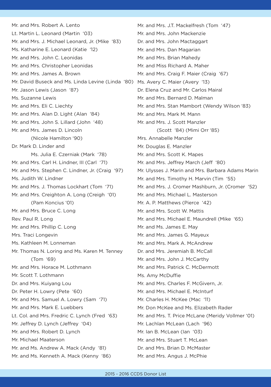Mr. and Mrs. Robert A. Lento Lt. Martin L. Leonard (Martin '03) Mr. and Mrs. J. Michael Leonard, Jr. (Mike '83) Ms. Katharine E. Leonard (Katie '12) Mr. and Mrs. John C. Leonidas Mr. and Mrs. Christopher Leonidas Mr. and Mrs. James A. Brown Mr. David Buseck and Ms. Linda Levine (Linda '80) Ms. Avery C. Maier (Avery '13) Mr. Jason Lewis (Jason '87) Ms. Suzanne Lewis Mr. and Mrs. Eli C. Liechty Mr. and Mrs. Alan D. Light (Alan '84) Mr. and Mrs. John S. Lillard (John '48) Mr. and Mrs. James D. Lincoln (Nicole Hamilton '90) Dr. Mark D. Linder and Ms. Julia E. Czerniak (Mark '78) Mr. and Mrs. Carl H. Lindner, III (Carl '71) Mr. and Mrs. Stephen C. Lindner, Jr. (Craig '97) Ms. Judith W. Lindner Mr. and Mrs. J. Thomas Lockhart (Tom '71) Mr. and Mrs. Creighton A. Long (Creigh '01) (Pam Koncius '01) Mr. and Mrs. Bruce C. Long Rev. Paul R. Long Mr. and Mrs. Phillip C. Long Mrs. Traci Longevin Ms. Kathleen M. Lonneman Mr. Thomas N. Loring and Ms. Karen M. Tenney (Tom '69) Mr. and Mrs. Horace M. Lothmann Mr. Scott T. Lothmann Dr. and Mrs. Kuiyang Lou Dr. Peter H. Lowry (Pete '60) Mr. and Mrs. Samuel A. Lowry (Sam '71) Mr. and Mrs. Mark E. Luebbers Lt. Col. and Mrs. Fredric C. Lynch (Fred '63) Mr. Jeffrey D. Lynch (Jeffrey '04) Mr. and Mrs. Robert D. Lynch Mr. Michael Maaterson Mr. and Ms. Andrew A. Mack (Andy '81) Mr. and Ms. Kenneth A. Mack (Kenny '86)

Mr. and Mrs. J.T. Mackelfresh (Tom '47) Mr. and Mrs. John Mackenzie Dr. and Mrs. John Mactaggart Mr. and Mrs. Dan Magarian Mr. and Mrs. Brian Mahedy Mr. and Miss Richard A. Maher Mr. and Mrs. Craig F. Maier (Craig '67) Dr. Elena Cruz and Mr. Carlos Mairal Mr. and Mrs. Bernard D. Malman Mr. and Mrs. Stan Mambort (Wendy Wilson '83) Mr. and Mrs. Mark M. Mann Mr. and Mrs. J. Scott Manzler (Scott '84) (Mimi Orr '85) Mrs. Annabelle Manzler Mr. Douglas E. Manzler Mr. and Mrs. Scott K. Mapes Mr. and Mrs. Jeffrey March (Jeff '80) Mr. Ulysses J. Marin and Mrs. Barbara Adams Marin Mr. and Mrs. Timothy H. Marvin (Tim '55) Mr. and Mrs. J. Cromer Mashburn, Jr. (Cromer '52) Mr. and Mrs. Michael L. Masterson Mr. A. P. Matthews (Pierce '42) Mr. and Mrs. Scott W. Mattis Mr. and Mrs. Michael E. Maundrell (Mike '65) Mr. and Ms. James E. May Mr. and Mrs. James G. Mayeux Mr. and Mrs. Mark A. McAndrew Dr. and Mrs. Jeremiah B. McCall Mr. and Mrs. John J. McCarthy Mr. and Mrs. Patrick C. McDermott Ms. Amy McDuffie Mr. and Mrs. Charles F. McGivern, Jr. Mr. and Mrs. Michael E. McInturf Mr. Charles H. McKee (Mac '11) Mr. Don McKee and Ms. Elizabeth Rader Mr. and Mrs. T. Price McLane (Meridy Vollmer '01) Mr. Lachlan McLean (Lach '96) Mr. Ian B. McLean (Ian '03) Mr. and Mrs. Stuart T. McLean Dr. and Mrs. Brian D. McMaster Mr. and Mrs. Angus J. McPhie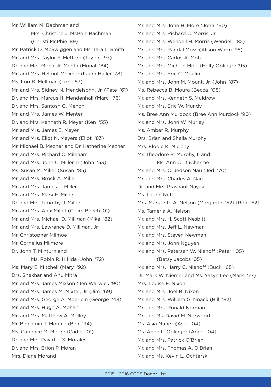Mr. William M. Bachman and Mrs. Christine J. McPhie Bachman (Christi McPhie '89) Mr. Patrick D. McSwiggen and Ms. Tara L. Smith Mr. and Mrs. Taylor F. Mefford (Taylor '93) Dr. and Mrs. Monal A. Mehta (Monal '84) Mr. and Mrs. Helmut Meixner (Laura Huller '78) Ms. Lori B. Mellman (Lori '83) Mr. and Mrs. Sidney N. Mendelsohn, Jr. (Pete '61) Dr. and Mrs. Marcus H. Mendenhall (Marc '76) Dr. and Mrs. Santosh G. Menon Mr. and Mrs. James W. Menter Dr. and Mrs. Kenneth R. Meyer (Ken '55) Mr. and Mrs. James E. Meyer Mr. and Mrs. Eliot N. Meyers (Eliot '83) Mr. Michael B. Mezher and Dr. Katherine Mezher Mr. and Mrs. Richard C. Mileham Mr. and Mrs. John C. Miller, II (John '53) Ms. Susan M. Miller (Susan '85) Mr. and Mrs. Brock A. Miller Mr. and Mrs. James L. Miller Mr. and Mrs. Mark E. Miller Dr. and Mrs. Timothy J. Miller Mr. and Mrs. Alex Millet (Claire Beech '01) Mr. and Mrs. Michael D. Milligan (Mike '82) Mr. and Mrs. Lawrence D. Milligan, Jr. Mr. Christopher Milmoe Mr. Cornelius Milmore Dr. John T. Minturn and Ms. Robin R. Hikida (John '72) Ms. Mary E. Mitchell (Mary '92) Drs. Shekhar and Anu Mitra Mr. and Mrs. James Mixson (Jen Warwick '90) Mr. and Mrs. James M. Mixter, Jr. (Jim '69) Mr. and Mrs. George A. Moerlein (George '48) Mr. and Mrs. Hugh A. Mohan Mr. and Mrs. Matthew A. Molloy Mr. Benjamin T. Monnie (Ben '94) Ms. Cadence M. Moore (Cadie '01) Dr. and Mrs. David L. S. Morales Dr. and Mrs. Brion P. Moran Mrs. Diane Morand

Mr. and Mrs. John H. More (John '60) Mr. and Mrs. Richard C. Morris, Jr. Mr. and Mrs. Wendell H. Morris (Wendell '82) Mr. and Mrs. Randal Moss (Alison Warm '95) Mr. and Mrs. Carlos A. Mota Mr. and Mrs. Michael Mott (Holly Oblinger '95) Mr. and Mrs. Eric C. Moulin Mr. and Mrs. John M. Mount, Jr. (John '87) Ms. Rebecca B. Moura (Becca '08) Mr. and Mrs. Kenneth S. Muldrow Mr. and Mrs. Eric W. Mundy Ms. Bree Ann Murdock (Bree Ann Murdock '90) Mr. and Mrs. John W. Murley Ms. Amber R. Murphy Drs. Brian and Sheila Murphy Mrs. Elodie K. Murphy Mr. Theodore R. Murphy, II and Ms. Ann C. DuCharme Mr. and Mrs. C. Jedson Nau (Jed '70) Mr. and Mrs. Charles A. Nau Dr. and Mrs. Prashant Nayak Ms. Laurie Neff Mrs. Margarite A. Nelson (Margarite '52) (Ron '52) Ms. Tameria A. Nelson Mr. and Mrs. H. Scott Nesbitt Mr. and Mrs. Jeff L. Newman Mr. and Mrs. Steven Newman Mr. and Mrs. John Nguyen Mr. and Mrs. Petersen W. Niehoff (Peter '05) (Betsy Jacobs '05) Mr. and Mrs. Harry C. Niehoff (Buck '65) Dr. Mark W. Niemer and Ms. Yasyn Lee (Mark '77) Mrs. Louise E. Nixon Mr. and Mrs. Joel B. Nixon Mr. and Mrs. William G. Noack (Bill '82) Mr. and Mrs. Ronald Norman Mr. and Ms. David M. Norwood Ms. Asia Nunez (Asia '04) Ms. Anne L. Oblinger (Anne '04) Mr. and Mrs. Patrick O'Brien Mr. and Mrs. Thomas A. O'Brien Mr. and Ms. Kevin L. Ochterski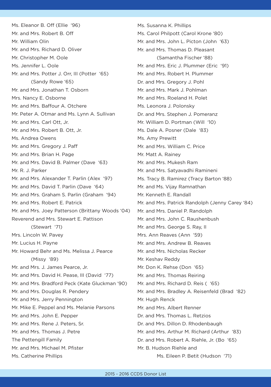Ms. Eleanor B. Off (Ellie '96) Mr. and Mrs. Robert B. Off Mr. William Olin Mr. and Mrs. Richard D. Oliver Mr. Christopher M. Oole Ms. Jennifer L. Oole Mr. and Mrs. Potter J. Orr, III (Potter '65) (Sandy Rowe '65) Mr. and Mrs. Jonathan T. Osborn Mrs. Nancy E. Osborne Mr. and Mrs. Baffour A. Otchere Mr. Peter A. Otmar and Ms. Lynn A. Sullivan Mr. and Mrs. Carl Ott, Jr. Mr. and Mrs. Robert B. Ott, Jr. Ms. Andrea Owens Mr. and Mrs. Gregory J. Paff Mr. and Mrs. Brian H. Page Mr. and Mrs. David B. Palmer (Dave '63) Mr. R. J. Parker Mr. and Mrs. Alexander T. Parlin (Alex '97) Mr. and Mrs. David T. Parlin (Dave '64) Mr. and Mrs. Graham S. Parlin (Graham '94) Mr. and Mrs. Robert E. Patrick Mr. and Mrs. Joey Patterson (Brittany Woods '04) Reverend and Mrs. Stewart E. Pattison (Stewart '71) Mrs. Lincoln W. Pavey Mr. Lucius H. Payne Mr. Howard Behr and Ms. Melissa J. Pearce (Missy '89) Mr. and Mrs. J. James Pearce, Jr. Mr. and Mrs. David H. Pease, III (David '77) Mr. and Mrs. Bradford Peck (Kate Gluckman '90) Mr. and Mrs. Douglas R. Pendery Mr. and Mrs. Jerry Pennington Mr. Mike E. Peppel and Ms. Melanie Parsons Mr. and Mrs. John E. Pepper Mr. and Mrs. Rene J. Peters, Sr. Mr. and Mrs. Thomas J. Petre The Pettengill Family Mr. and Mrs. Michael M. Pfister Ms. Catherine Phillips

Ms. Susanna K. Phillips Ms. Carol Philpott (Carol Krone '80) Mr. and Mrs. John L. Picton (John '63) Mr. and Mrs. Thomas D. Pleasant (Samantha Fischer '88) Mr. and Mrs. Eric J. Plummer (Eric '91) Mr. and Mrs. Robert H. Plummer Dr. and Mrs. Gregory J. Pohl Mr. and Mrs. Mark J. Pohlman Mr. and Mrs. Roeland H. Polet Ms. Leonora J. Polonsky Dr. and Mrs. Stephen J. Pomeranz Mr. William D. Portman (Will '10) Ms. Dale A. Posner (Dale '83) Ms. Amy Prewitt Mr. and Mrs. William C. Price Mr. Matt A. Rainey Mr. and Mrs. Mukesh Ram Mr. and Mrs. Satyavadhi Ramineni Ms. Tracy B. Ramirez (Tracy Barton '88) Mr. and Ms. Vijay Ramnathan Mr. Kenneth E. Randall Mr. and Mrs. Patrick Randolph (Jenny Carey '84) Mr. and Mrs. Daniel P. Randolph Mr. and Mrs. John C. Raushenbush Mr. and Mrs. George S. Ray, II Mrs. Ann Reaves (Ann '59) Mr. and Mrs. Andrew B. Reaves Mr. and Mrs. Nicholas Recker Mr. Keshav Reddy Mr. Don K. Rehse (Don '65) Mr. and Mrs. Thomas Reiring Mr. and Mrs. Richard D. Reis ( '65) Mr. and Mrs. Bradley A. Reisenfeld (Brad '82) Mr. Hugh Renck Mr. and Mrs. Albert Renner Dr. and Mrs. Thomas L. Retzios Dr. and Mrs. Dillon D. Rhodenbaugh Mr. and Mrs. Arthur M. Richard (Arthur '83) Dr. and Mrs. Robert A. Riehle, Jr. (Bo '65) Mr. B. Hudson Riehle and Ms. Eileen P. Betit (Hudson '71)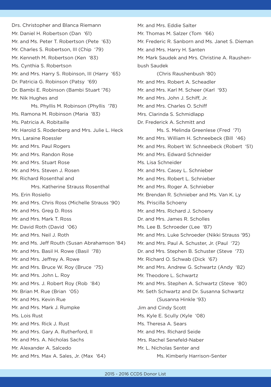Drs. Christopher and Blanca Riemann Mr. Daniel H. Robertson (Dan '61) Mr. and Ms. Peter T. Robertson (Pete '63) Mr. Charles S. Robertson, III (Chip '79) Mr. Kenneth M. Robertson (Ken '83) Ms. Cynthia S. Robertson Mr. and Mrs. Harry S. Robinson, III (Harry '65) Dr. Patricia G. Robinson (Patsy '69) Dr. Bambi E. Robinson (Bambi Stuart '76) Mr. Nik Hughes and Ms. Phyllis M. Robinson (Phyllis '78) Ms. Ramona M. Robinson (Maria '83) Ms. Patricia A. Robitaille Mr. Harold S. Rodenberg and Mrs. Julie L. Heck Mrs. Laraine Roessler Mr. and Mrs. Paul Rogers Mr. and Mrs. Randon Rose Mr. and Mrs. Stuart Rose Mr. and Mrs. Steven J. Rosen Mr. Richard Rosenthal and Mrs. Katherine Strauss Rosenthal Ms. Erin Rosiello Mr. and Mrs. Chris Ross (Michelle Strauss '90) Mr. and Mrs. Greg D. Ross Mr. and Mrs. Mark T. Ross Mr. David Roth (David '06) Mr. and Mrs. Neil J. Roth Mr. and Ms. Jeff Routh (Susan Abrahamson '84) Mr. and Mrs. Basil H. Rowe (Basil '78) Mr. and Mrs. Jeffrey A. Rowe Mr. and Mrs. Bruce W. Roy (Bruce '75) Mr. and Mrs. John L. Roy Mr. and Mrs. J. Robert Roy (Rob '84) Mr. Brian M. Rue (Brian '05) Mr. and Mrs. Kevin Rue Mr. and Mrs. Mark J. Rumpke Ms. Lois Rust Mr. and Mrs. Rick J. Rust Mr. and Mrs. Gary A. Rutherford, II Mr. and Mrs. A. Nicholas Sachs Mr. Alexander A. Salcedo Mr. and Mrs. Max A. Sales, Jr. (Max '64)

Mr. and Mrs. Eddie Salter Mr. Thomas M. Salzer (Tom '66) Mr. Frederic R. Sanborn and Ms. Janet S. Dieman Mr. and Mrs. Harry H. Santen Mr. Mark Saudek and Mrs. Christine A. Raushenbush Saudek (Chris Raushenbush '80) Mr. and Mrs. Robert A. Scheadler Mr. and Mrs. Karl M. Scheer (Karl '93) Mr. and Mrs. John J. Schiff, Jr. Mr. and Mrs. Charles O. Schiff Mrs. Clarinda S. Schmidlapp Dr. Frederick A. Schmitt and Ms. S. Melinda Greenlese (Fred '71) Mr. and Mrs. William H. Schneebeck (Bill '46) Mr. and Mrs. Robert W. Schneebeck (Robert '51) Mr. and Mrs. Edward Schneider Ms. Lisa Schneider Mr. and Mrs. Casey L. Schnieber Mr. and Mrs. Robert L. Schnieber Mr. and Mrs. Roger A. Schnieber Mr. Brendan R. Schnieber and Ms. Van K. Ly Ms. Priscilla Schoeny Mr. and Mrs. Richard J. Schoeny Dr. and Mrs. James R. Scholles Ms. Lee B. Schroeder (Lee '87) Mr. and Mrs. Luke Schroeder (Nikki Strauss '95) Mr. and Mrs. Paul A. Schuster, Jr. (Paul '72) Dr. and Mrs. Stephen B. Schuster (Steve '73) Mr. Richard O. Schwab (Dick '67) Mr. and Mrs. Andrew G. Schwartz (Andy '82) Mr. Theodore L. Schwartz Mr. and Mrs. Stephen A. Schwartz (Steve '80) Mr. Seth Schwartz and Dr. Susanna Schwartz (Susanna Hinkle '93) Jim and Cindy Scott Ms. Kyle E. Scully (Kyle '08) Ms. Theresa A. Sears Mr. and Mrs. Richard Seide Mrs. Rachel Senefeld-Naber Mr. L. Nicholas Senter and Ms. Kimberly Harrison-Senter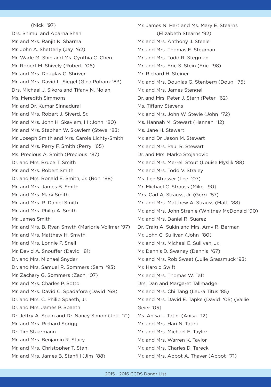(Nick '97) Drs. Shimul and Aparna Shah Mr. and Mrs. Ranjit K. Sharma Mr. John A. Shetterly (Jay '62) Mr. Wade M. Shih and Ms. Cynthia C. Chen Mr. Robert M. Shively (Robert '06) Mr. and Mrs. Douglas C. Shriver Mr. and Mrs. David L. Siegel (Gina Pobanz '83) Drs. Michael J. Sikora and Tifany N. Nolan Ms. Meredith Simmons Mr. and Dr. Kumar Sinnadurai Mr. and Mrs. Robert J. Siverd, Sr. Mr. and Mrs. John H. Skavlem, III (John '80) Mr. and Mrs. Stephen W. Skavlem (Steve '83) Mr. Joseph Smith and Mrs. Carole Lichty-Smith Mr. and Mrs. Perry F. Smith (Perry '65) Ms. Precious A. Smith (Precious '87) Dr. and Mrs. Bruce T. Smith Mr. and Mrs. Robert Smith Dr. and Mrs. Ronald E. Smith, Jr. (Ron '88) Mr. and Mrs. James B. Smith Mr. and Mrs. Mark Smith Mr. and Mrs. R. Daniel Smith Mr. and Mrs. Philip A. Smith Mr. James Smith Mr. and Mrs. B. Ryan Smyth (Marjorie Vollmer '97) Mr. and Mrs. Matthew H. Smyth Mr. and Mrs. Lonnie P. Snell Mr. David A. Snouffer (David '81) Dr. and Mrs. Michael Snyder Dr. and Mrs. Samuel R. Sommers (Sam '93) Mr. Zachary G. Sommers (Zach '07) Mr. and Mrs. Charles P. Sotto Mr. and Mrs. David C. Spadafora (David '68) Dr. and Mrs. C. Philip Spaeth, Jr. Dr. and Mrs. James P. Spaeth Dr. Jeffry A. Spain and Dr. Nancy Simon (Jeff '71) Mr. and Mrs. Richard Sprigg Dr. Tim Staarmann Mr. and Mrs. Benjamin R. Stacy Mr. and Mrs. Christopher T. Stahl Mr. and Mrs. James B. Stanfill (Jim '88)

Mr. James N. Hart and Ms. Mary E. Stearns (Elizabeth Stearns '92) Mr. and Mrs. Anthony J. Steele Mr. and Mrs. Thomas E. Stegman Mr. and Mrs. Todd R. Stegman Mr. and Mrs. Eric S. Stein (Eric '98) Mr. Richard H. Steiner Mr. and Mrs. Douglas G. Stenberg (Doug '75) Mr. and Mrs. James Stengel Dr. and Mrs. Peter J. Stern (Peter '62) Ms. Tiffany Stevens Mr. and Mrs. John W. Stevie (John '72) Ms. Hannah M. Stewart (Hannah '12) Ms. Jane H. Stewart Mr. and Dr. Jason M. Stewart Mr. and Mrs. Paul R. Stewart Dr. and Mrs. Marko Stojanovic Mr. and Mrs. Merrell Stout (Louise Myslik '88) Mr. and Mrs. Todd V. Straley Ms. Lee Strasser (Lee '07) Mr. Michael C. Strauss (Mike '90) Mrs. Carl A. Strauss, Jr. (Gerri '57) Mr. and Mrs. Matthew A. Strauss (Matt '88) Mr. and Mrs. John Strehle (Whitney McDonald '90) Mr. and Mrs. Daniel R. Suarez Dr. Craig A. Sukin and Mrs. Amy R. Berman Mr. John C. Sullivan (John '80) Mr. and Mrs. Michael E. Sullivan, Jr. Mr. Dennis D. Swaney (Dennis '67) Mr. and Mrs. Rob Sweet (Julie Grassmuck '93) Mr. Harold Swift Mr. and Mrs. Thomas W. Taft Drs. Dan and Margaret Tallmadge Mr. and Mrs. Chi Tang (Laura Titus '85) Mr. and Mrs. David E. Tapke (David '05) (Vallie Geier '05) Ms. Anisa L. Tatini (Anisa '12) Mr. and Mrs. Hari N. Tatini Mr. and Mrs. Michael E. Taylor Mr. and Mrs. Warren K. Taylor Mr. and Mrs. Charles D. Tereck Mr. and Mrs. Abbot A. Thayer (Abbot '71)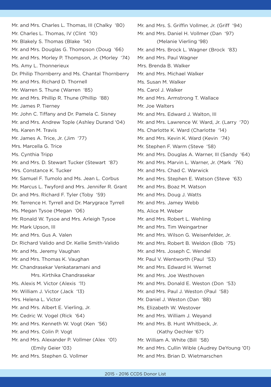Mr. and Mrs. Charles L. Thomas, III (Chalky '80) Mr. Charles L. Thomas, IV (Clint '10) Mr. Blakely S. Thomas (Blake '14) Mr. and Mrs. Douglas G. Thompson (Doug '66) Mr. and Mrs. Morley P. Thompson, Jr. (Morley '74) Ms. Amy L. Thonnerieux Dr. Philip Thornberry and Ms. Chantal Thornberry Mr. and Mrs. Richard D. Thornell Mr. Warren S. Thune (Warren '85) Mr. and Mrs. Phillip R. Thune (Phillip '88) Mr. James P. Tierney Mr. John C. Tiffany and Dr. Pamela C. Sisney Mr. and Mrs. Andrew Tople (Ashley Durand '04) Ms. Karen M. Travis Mr. James A. Trice, Jr. (Jim '77) Mrs. Marcella G. Trice Ms. Cynthia Tripp Mr. and Mrs. D. Stewart Tucker (Stewart '87) Mrs. Constance K. Tucker Mr. Samuel F. Tumolo and Ms. Jean L. Corbus Mr. Marcus L. Twyford and Mrs. Jennifer R. Grant Dr. and Mrs. Richard F. Tyler (Toby '59) Mr. Terrence H. Tyrrell and Dr. Marygrace Tyrrell Ms. Megan Tysoe (Megan '06) Mr. Ronald W. Tysoe and Mrs. Arleigh Tysoe Mr. Mark Upson, III Mr. and Mrs. Gus A. Valen Dr. Richard Valido and Dr. Kellie Smith-Valido Mr. and Ms. Jeremy Vaughan Mr. and Mrs. Thomas K. Vaughan Mr. Chandrasekar Venkataramani and Mrs. Kirthika Chandrasekar Ms. Alexis M. Victor (Alexis '11) Mr. William J. Victor (Jack '13) Mrs. Helena L. Victor Mr. and Mrs. Albert E. Vierling, Jr. Mr. Cedric W. Vogel (Rick '64) Mr. and Mrs. Kenneth W. Vogt (Ken '56) Mr. and Mrs. Colin P. Vogt Mr. and Mrs. Alexander P. Vollmer (Alex '01) (Emily Geier '03) Mr. and Mrs. Stephen G. Vollmer

Mr. and Mrs. S. Griffin Vollmer, Jr. (Griff '94) Mr. and Mrs. Daniel H. Vollmer (Dan '97) (Melanie Vierling '98) Mr. and Mrs. Brock L. Wagner (Brock '83) Mr. and Mrs. Paul Wagner Mrs. Brenda B. Walker Mr. and Mrs. Michael Walker Ms. Susan M. Walker Ms. Carol J. Walker Mr. and Mrs. Armstrong T. Wallace Mr. Joe Walters Mr. and Mrs. Edward J. Walton, III Mr. and Mrs. Lawrence W. Ward, Jr. (Larry '70) Ms. Charlotte K. Ward (Charlotte '14) Mr. and Mrs. Kevin K. Ward (Kevin '74) Mr. Stephen F. Warm (Steve '58) Mr. and Mrs. Douglas A. Warner, III (Sandy '64) Mr. and Mrs. Marvin L. Warner, Jr. (Mark '76) Mr. and Mrs. Chad C. Warwick Mr. and Mrs. Stephen E. Watson (Steve '63) Mr. and Mrs. Boaz M. Watson Mr. and Mrs. Doug J. Watts Mr. and Mrs. Jamey Webb Ms. Alice M. Weber Mr. and Mrs. Robert L. Wehling Mr. and Mrs. Tim Weingartner Mr. and Mrs. Wilson G. Weisenfelder, Jr. Mr. and Mrs. Robert B. Weldon (Bob '75) Mr. and Mrs. Joseph C. Wendel Mr. Paul V. Wentworth (Paul '53) Mr. and Mrs. Edward H. Wernet Mr. and Mrs. Joe Westhoven Mr. and Mrs. Donald E. Weston (Don '53) Mr. and Mrs. Paul J. Weston (Paul '58) Mr. Daniel J. Weston (Dan '88) Ms. Elizabeth W. Westover Mr. and Mrs. William J. Weyand Mr. and Mrs. B. Hunt Whitbeck, Jr. (Kathy Oechler '67) Mr. William A. White (Bill '58) Mr. and Mrs. Cullin Wible (Audrey DeYoung '01)

Mr. and Mrs. Brian D. Wietmarschen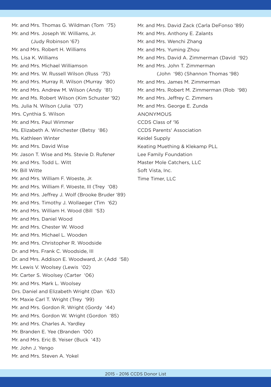Mr. and Mrs. Thomas G. Wildman (Tom '75) Mr. and Mrs. Joseph W. Williams, Jr. (Judy Robinson '67) Mr. and Mrs. Robert H. Williams Ms. Lisa K. Williams Mr. and Mrs. Michael Williamson Mr. and Mrs. W. Russell Wilson (Russ '75) Mr. and Mrs. Murray R. Wilson (Murray '80) Mr. and Mrs. Andrew M. Wilson (Andy '81) Mr. and Ms. Robert Wilson (Kim Schuster '92) Ms. Julia N. Wilson (Julia '07) Mrs. Cynthia S. Wilson Mr. and Mrs. Paul Wimmer Ms. Elizabeth A. Winchester (Betsy '86) Ms. Kathleen Winter Mr. and Mrs. David Wise Mr. Jason T. Wise and Ms. Stevie D. Rufener Mr. and Mrs. Todd L. Witt Mr. Bill Witte Mr. and Mrs. William F. Woeste, Jr. Mr. and Mrs. William F. Woeste, III (Trey '08) Mr. and Mrs. Jeffrey J. Wolf (Brooke Bruder '89) Mr. and Mrs. Timothy J. Wollaeger (Tim '62) Mr. and Mrs. William H. Wood (Bill '53) Mr. and Mrs. Daniel Wood Mr. and Mrs. Chester W. Wood Mr. and Mrs. Michael L. Wooden Mr. and Mrs. Christopher R. Woodside Dr. and Mrs. Frank C. Woodside, III Dr. and Mrs. Addison E. Woodward, Jr. (Add '58) Mr. Lewis V. Woolsey (Lewis '02) Mr. Carter S. Woolsey (Carter '06) Mr. and Mrs. Mark L. Woolsey Drs. Daniel and Elizabeth Wright (Dan '63) Mr. Maxie Carl T. Wright (Trey '99) Mr. and Mrs. Gordon R. Wright (Gordy '44) Mr. and Mrs. Gordon W. Wright (Gordon '85) Mr. and Mrs. Charles A. Yardley Mr. Branden E. Yee (Branden '00) Mr. and Mrs. Eric B. Yeiser (Buck '43) Mr. John J. Yengo Mr. and Mrs. Steven A. Yokel

Mr. and Mrs. David Zack (Carla DeFonso '89) Mr. and Mrs. Anthony E. Zalants Mr. and Mrs. Wenchi Zhang Mr. and Mrs. Yuming Zhou Mr. and Mrs. David A. Zimmerman (David '92) Mr. and Mrs. John T. Zimmerman (John '98) (Shannon Thomas '98) Mr. and Mrs. James M. Zimmerman Mr. and Mrs. Robert M. Zimmerman (Rob '98) Mr. and Mrs. Jeffrey C. Zimmers Mr. and Mrs. George E. Zunda **ANONYMOUS** CCDS Class of '16 CCDS Parents' Association Keidel Supply Keating Muething & Klekamp PLL Lee Family Foundation Master Mole Catchers, LLC Soft Vista, Inc. Time Timer, LLC